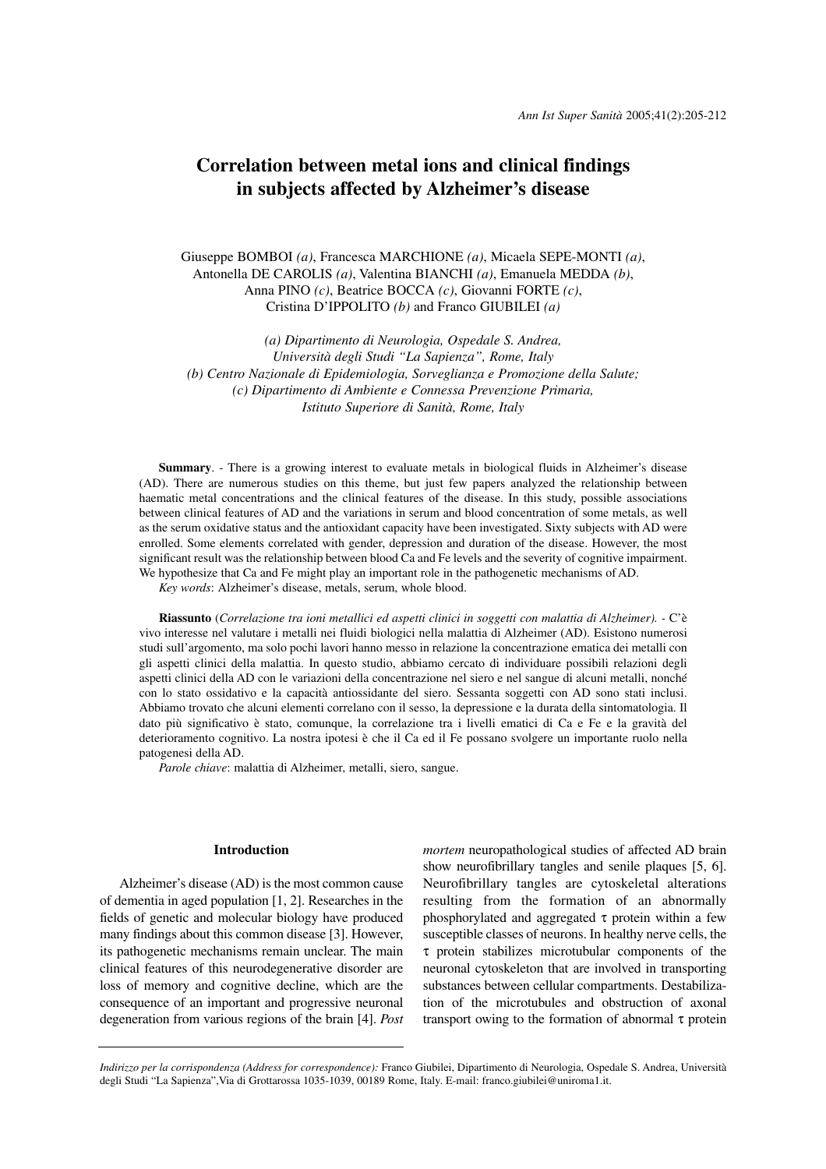# **Correlation between metal ions and clinical findings in subjects affected by Alzheimer's disease**

Giuseppe BOMBOI *(a)*, Francesca MARCHIONE *(a)*, Micaela SEPE-MONTI *(a)*, Antonella DE CAROLIS *(a)*, Valentina BIANCHI *(a)*, Emanuela MEDDA *(b)*, Anna PINO *(c)*, Beatrice BOCCA *(c)*, Giovanni FORTE *(c)*, Cristina D'IPPOLITO *(b)* and Franco GIUBILEI *(a)*

*(a) Dipartimento di Neurologia, Ospedale S. Andrea, Università degli Studi "La Sapienza", Rome, Italy (b) Centro Nazionale di Epidemiologia, Sorveglianza e Promozione della Salute; (c) Dipartimento di Ambiente e Connessa Prevenzione Primaria, Istituto Superiore di Sanità, Rome, Italy*

**Summary**. - There is a growing interest to evaluate metals in biological fluids in Alzheimer's disease (AD). There are numerous studies on this theme, but just few papers analyzed the relationship between haematic metal concentrations and the clinical features of the disease. In this study, possible associations between clinical features of AD and the variations in serum and blood concentration of some metals, as well as the serum oxidative status and the antioxidant capacity have been investigated. Sixty subjects with AD were enrolled. Some elements correlated with gender, depression and duration of the disease. However, the most significant result was the relationship between blood Ca and Fe levels and the severity of cognitive impairment. We hypothesize that Ca and Fe might play an important role in the pathogenetic mechanisms of AD.

*Key words*: Alzheimer's disease, metals, serum, whole blood.

**Riassunto** (*Correlazione tra ioni metallici ed aspetti clinici in soggetti con malattia di Alzheimer). -* C'è vivo interesse nel valutare i metalli nei fluidi biologici nella malattia di Alzheimer (AD). Esistono numerosi studi sull'argomento, ma solo pochi lavori hanno messo in relazione la concentrazione ematica dei metalli con gli aspetti clinici della malattia. In questo studio, abbiamo cercato di individuare possibili relazioni degli aspetti clinici della AD con le variazioni della concentrazione nel siero e nel sangue di alcuni metalli, nonché con lo stato ossidativo e la capacità antiossidante del siero. Sessanta soggetti con AD sono stati inclusi. Abbiamo trovato che alcuni elementi correlano con il sesso, la depressione e la durata della sintomatologia. Il dato più significativo è stato, comunque, la correlazione tra i livelli ematici di Ca e Fe e la gravità del deterioramento cognitivo. La nostra ipotesi è che il Ca ed il Fe possano svolgere un importante ruolo nella patogenesi della AD.

*Parole chiave*: malattia di Alzheimer, metalli, siero, sangue.

# **Introduction**

Alzheimer's disease (AD) is the most common cause of dementia in aged population [1, 2]. Researches in the fields of genetic and molecular biology have produced many findings about this common disease [3]. However, its pathogenetic mechanisms remain unclear. The main clinical features of this neurodegenerative disorder are loss of memory and cognitive decline, which are the consequence of an important and progressive neuronal degeneration from various regions of the brain [4]. *Post* *mortem* neuropathological studies of affected AD brain show neurofibrillary tangles and senile plaques [5, 6]. Neurofibrillary tangles are cytoskeletal alterations resulting from the formation of an abnormally phosphorylated and aggregated  $τ$  protein within a few susceptible classes of neurons. In healthy nerve cells, the τ protein stabilizes microtubular components of the neuronal cytoskeleton that are involved in transporting substances between cellular compartments. Destabilization of the microtubules and obstruction of axonal transport owing to the formation of abnormal τ protein

*Indirizzo per la corrispondenza (Address for correspondence):* Franco Giubilei, Dipartimento di Neurologia, Ospedale S. Andrea, Università degli Studi "La Sapienza",Via di Grottarossa 1035-1039, 00189 Rome, Italy. E-mail: franco.giubilei@uniroma1.it.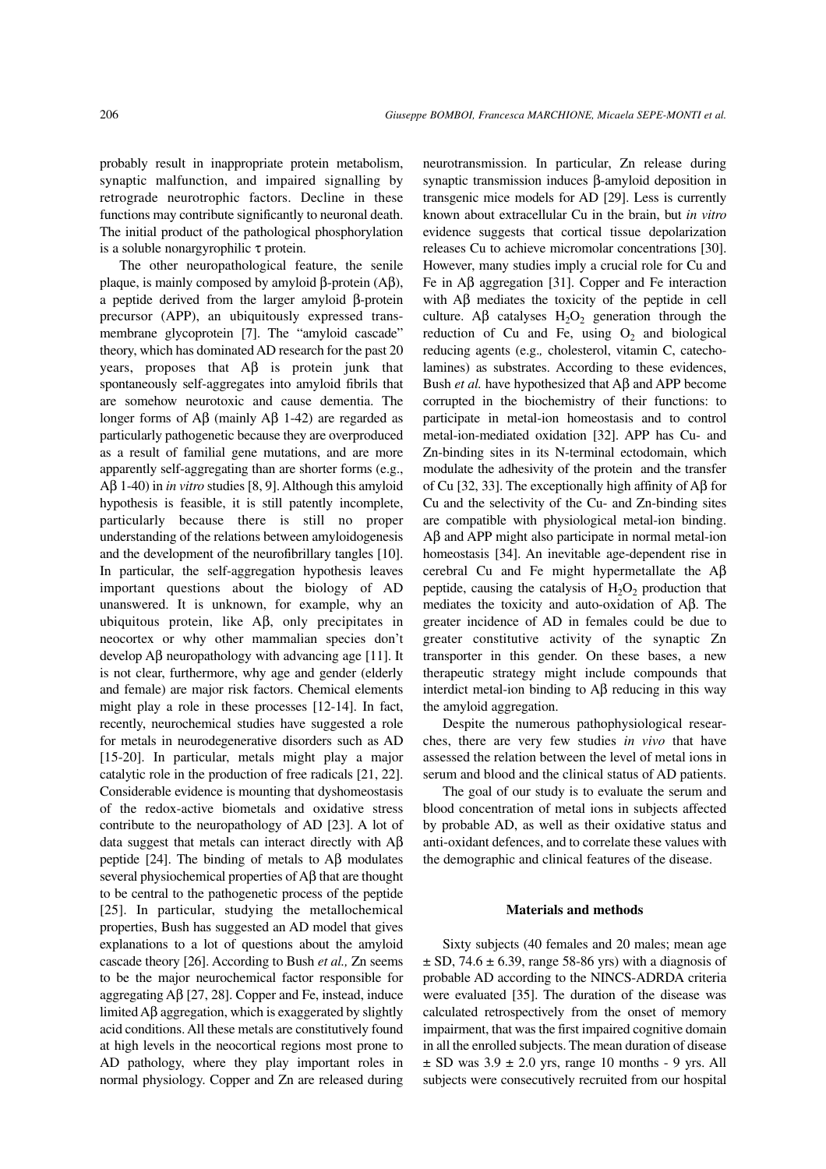probably result in inappropriate protein metabolism, synaptic malfunction, and impaired signalling by retrograde neurotrophic factors. Decline in these functions may contribute significantly to neuronal death. The initial product of the pathological phosphorylation is a soluble nonargyrophilic τ protein.

The other neuropathological feature, the senile plaque, is mainly composed by amyloid β-protein (Aβ), a peptide derived from the larger amyloid β-protein precursor (APP), an ubiquitously expressed transmembrane glycoprotein [7]. The "amyloid cascade" theory, which has dominated AD research for the past 20 years, proposes that  $A\beta$  is protein junk that spontaneously self-aggregates into amyloid fibrils that are somehow neurotoxic and cause dementia. The longer forms of Aβ (mainly Aβ 1-42) are regarded as particularly pathogenetic because they are overproduced as a result of familial gene mutations, and are more apparently self-aggregating than are shorter forms (e.g., Aβ 1-40) in *in vitro* studies [8, 9]. Although this amyloid hypothesis is feasible, it is still patently incomplete, particularly because there is still no proper understanding of the relations between amyloidogenesis and the development of the neurofibrillary tangles [10]. In particular, the self-aggregation hypothesis leaves important questions about the biology of AD unanswered. It is unknown, for example, why an ubiquitous protein, like Aβ, only precipitates in neocortex or why other mammalian species don't develop Aβ neuropathology with advancing age [11]. It is not clear, furthermore, why age and gender (elderly and female) are major risk factors. Chemical elements might play a role in these processes [12-14]. In fact, recently, neurochemical studies have suggested a role for metals in neurodegenerative disorders such as AD [15-20]. In particular, metals might play a major catalytic role in the production of free radicals [21, 22]. Considerable evidence is mounting that dyshomeostasis of the redox-active biometals and oxidative stress contribute to the neuropathology of AD [23]. A lot of data suggest that metals can interact directly with Aβ peptide [24]. The binding of metals to  $\text{A}\beta$  modulates several physiochemical properties of Aβ that are thought to be central to the pathogenetic process of the peptide [25]. In particular, studying the metallochemical properties, Bush has suggested an AD model that gives explanations to a lot of questions about the amyloid cascade theory [26]. According to Bush *et al.,* Zn seems to be the major neurochemical factor responsible for aggregating Aβ [27, 28]. Copper and Fe, instead, induce limited Aβ aggregation, which is exaggerated by slightly acid conditions. All these metals are constitutively found at high levels in the neocortical regions most prone to AD pathology, where they play important roles in normal physiology. Copper and Zn are released during

neurotransmission. In particular, Zn release during synaptic transmission induces β-amyloid deposition in transgenic mice models for AD [29]. Less is currently known about extracellular Cu in the brain, but *in vitro* evidence suggests that cortical tissue depolarization releases Cu to achieve micromolar concentrations [30]. However, many studies imply a crucial role for Cu and Fe in Aβ aggregation [31]. Copper and Fe interaction with Aβ mediates the toxicity of the peptide in cell culture. A $\beta$  catalyses  $H_2O_2$  generation through the reduction of Cu and Fe, using  $O_2$  and biological reducing agents (e.g.*,* cholesterol, vitamin C, catecholamines) as substrates. According to these evidences, Bush *et al.* have hypothesized that Aβ and APP become corrupted in the biochemistry of their functions: to participate in metal-ion homeostasis and to control metal-ion-mediated oxidation [32]. APP has Cu- and Zn-binding sites in its N-terminal ectodomain, which modulate the adhesivity of the protein and the transfer of Cu [32, 33]. The exceptionally high affinity of Aβ for Cu and the selectivity of the Cu- and Zn-binding sites are compatible with physiological metal-ion binding. Aβ and APP might also participate in normal metal-ion homeostasis [34]. An inevitable age-dependent rise in cerebral Cu and Fe might hypermetallate the Aβ peptide, causing the catalysis of  $H_2O_2$  production that mediates the toxicity and auto-oxidation of Aβ. The greater incidence of AD in females could be due to greater constitutive activity of the synaptic Zn transporter in this gender. On these bases, a new therapeutic strategy might include compounds that interdict metal-ion binding to Aβ reducing in this way the amyloid aggregation.

Despite the numerous pathophysiological researches, there are very few studies *in vivo* that have assessed the relation between the level of metal ions in serum and blood and the clinical status of AD patients.

The goal of our study is to evaluate the serum and blood concentration of metal ions in subjects affected by probable AD, as well as their oxidative status and anti-oxidant defences, and to correlate these values with the demographic and clinical features of the disease.

### **Materials and methods**

Sixty subjects (40 females and 20 males; mean age  $\pm$  SD, 74.6  $\pm$  6.39, range 58-86 yrs) with a diagnosis of probable AD according to the NINCS-ADRDA criteria were evaluated [35]. The duration of the disease was calculated retrospectively from the onset of memory impairment, that was the first impaired cognitive domain in all the enrolled subjects. The mean duration of disease  $\pm$  SD was 3.9  $\pm$  2.0 yrs, range 10 months - 9 yrs. All subjects were consecutively recruited from our hospital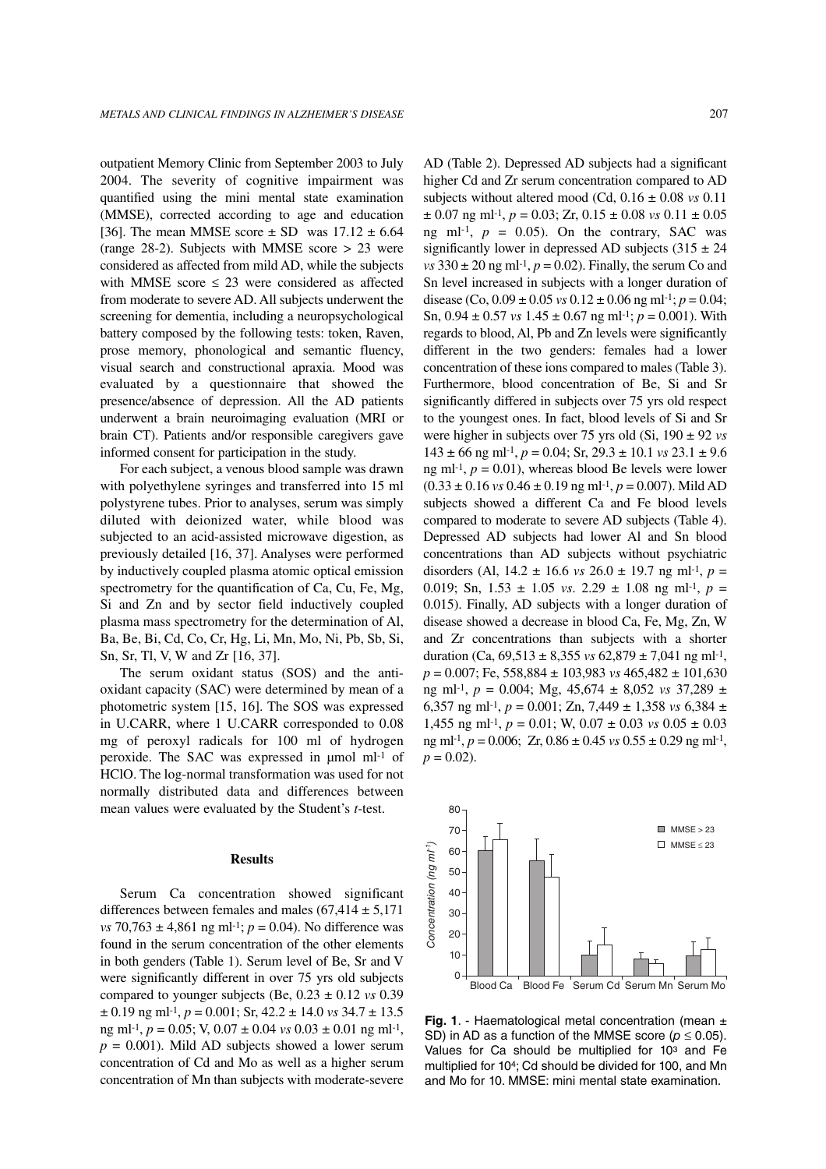outpatient Memory Clinic from September 2003 to July 2004. The severity of cognitive impairment was quantified using the mini mental state examination (MMSE), corrected according to age and education [36]. The mean MMSE score  $\pm$  SD was 17.12  $\pm$  6.64 (range 28-2). Subjects with MMSE score > 23 were considered as affected from mild AD, while the subjects with MMSE score  $\leq$  23 were considered as affected from moderate to severe AD. All subjects underwent the screening for dementia, including a neuropsychological battery composed by the following tests: token, Raven, prose memory, phonological and semantic fluency, visual search and constructional apraxia. Mood was evaluated by a questionnaire that showed the presence/absence of depression. All the AD patients underwent a brain neuroimaging evaluation (MRI or brain CT). Patients and/or responsible caregivers gave informed consent for participation in the study.

For each subject, a venous blood sample was drawn with polyethylene syringes and transferred into 15 ml polystyrene tubes. Prior to analyses, serum was simply diluted with deionized water, while blood was subjected to an acid-assisted microwave digestion, as previously detailed [16, 37]. Analyses were performed by inductively coupled plasma atomic optical emission spectrometry for the quantification of Ca, Cu, Fe, Mg, Si and Zn and by sector field inductively coupled plasma mass spectrometry for the determination of Al, Ba, Be, Bi, Cd, Co, Cr, Hg, Li, Mn, Mo, Ni, Pb, Sb, Si, Sn, Sr, Tl, V, W and Zr [16, 37].

The serum oxidant status (SOS) and the antioxidant capacity (SAC) were determined by mean of a photometric system [15, 16]. The SOS was expressed in U.CARR, where 1 U.CARR corresponded to 0.08 mg of peroxyl radicals for 100 ml of hydrogen peroxide. The SAC was expressed in µmol ml-1 of HClO. The log-normal transformation was used for not normally distributed data and differences between mean values were evaluated by the Student's *t*-test.

#### **Results**

Serum Ca concentration showed significant differences between females and males  $(67,414 \pm 5,171)$ *vs* 70,763 ± 4,861 ng ml<sup>-1</sup>; *p* = 0.04). No difference was found in the serum concentration of the other elements in both genders (Table 1). Serum level of Be, Sr and V were significantly different in over 75 yrs old subjects compared to younger subjects (Be,  $0.23 \pm 0.12$  *vs* 0.39  $\pm$  0.19 ng ml<sup>-1</sup>, *p* = 0.001; Sr, 42.2  $\pm$  14.0 *vs* 34.7  $\pm$  13.5 ng ml-1, *p* = 0.05; V, 0.07 ± 0.04 *vs* 0.03 ± 0.01 ng ml-1,  $p = 0.001$ ). Mild AD subjects showed a lower serum concentration of Cd and Mo as well as a higher serum concentration of Mn than subjects with moderate-severe

AD (Table 2). Depressed AD subjects had a significant higher Cd and Zr serum concentration compared to AD subjects without altered mood (Cd, 0.16 ± 0.08 *vs* 0.11  $\pm$  0.07 ng ml<sup>-1</sup>,  $p = 0.03$ ; Zr,  $0.15 \pm 0.08$  *vs*  $0.11 \pm 0.05$ ng ml<sup>-1</sup>,  $p = 0.05$ ). On the contrary, SAC was significantly lower in depressed AD subjects  $(315 \pm 24)$  $vs$  330  $\pm$  20 ng ml<sup>-1</sup>,  $p = 0.02$ ). Finally, the serum Co and Sn level increased in subjects with a longer duration of disease (Co,  $0.09 \pm 0.05$  *vs*  $0.12 \pm 0.06$  ng ml<sup>-1</sup>;  $p = 0.04$ ; Sn,  $0.94 \pm 0.57$  *vs*  $1.45 \pm 0.67$  ng ml<sup>-1</sup>;  $p = 0.001$ ). With regards to blood, Al, Pb and Zn levels were significantly different in the two genders: females had a lower concentration of these ions compared to males (Table 3). Furthermore, blood concentration of Be, Si and Sr significantly differed in subjects over 75 yrs old respect to the youngest ones. In fact, blood levels of Si and Sr were higher in subjects over 75 yrs old (Si, 190 ± 92 *vs*  $143 \pm 66$  ng ml<sup>-1</sup>,  $p = 0.04$ ; Sr,  $29.3 \pm 10.1$  *vs*  $23.1 \pm 9.6$ ng ml<sup>-1</sup>,  $p = 0.01$ ), whereas blood Be levels were lower  $(0.33 \pm 0.16 \text{ vs } 0.46 \pm 0.19 \text{ ng ml-1}, p = 0.007)$ . Mild AD subjects showed a different Ca and Fe blood levels compared to moderate to severe AD subjects (Table 4). Depressed AD subjects had lower Al and Sn blood concentrations than AD subjects without psychiatric disorders (Al,  $14.2 \pm 16.6$  *vs*  $26.0 \pm 19.7$  ng ml<sup>-1</sup>,  $p =$ 0.019; Sn,  $1.53 \pm 1.05$  *vs.*  $2.29 \pm 1.08$  ng ml<sup>-1</sup>,  $p =$ 0.015). Finally, AD subjects with a longer duration of disease showed a decrease in blood Ca, Fe, Mg, Zn, W and Zr concentrations than subjects with a shorter duration (Ca,  $69,513 \pm 8,355$  *vs*  $62,879 \pm 7,041$  ng ml<sup>-1</sup>, *p* = 0.007; Fe, 558,884 ± 103,983 *vs* 465,482 ± 101,630 ng ml-1, *p* = 0.004; Mg, 45,674 ± 8,052 *vs* 37,289 ± 6,357 ng ml<sup>-1</sup>,  $p = 0.001$ ; Zn, 7,449  $\pm$  1,358 *vs* 6,384  $\pm$ 1,455 ng ml<sup>-1</sup>,  $p = 0.01$ ; W,  $0.07 \pm 0.03$  *vs*  $0.05 \pm 0.03$ ng ml-1, *p* = 0.006; Zr, 0.86 ± 0.45 *vs* 0.55 ± 0.29 ng ml-1,  $p = 0.02$ .



**Fig. 1**. - Haematological metal concentration (mean ± SD) in AD as a function of the MMSE score ( $p \le 0.05$ ). Values for Ca should be multiplied for 103 and Fe multiplied for 104; Cd should be divided for 100, and Mn and Mo for 10. MMSE: mini mental state examination.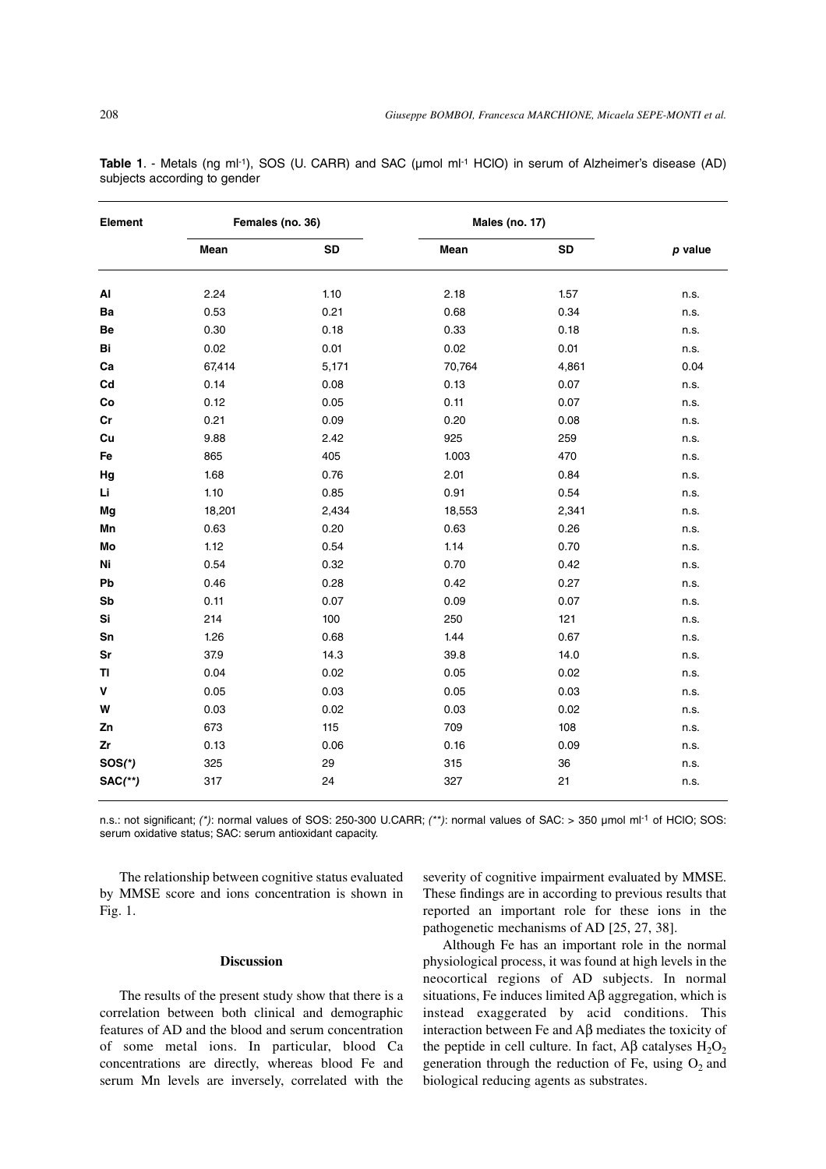| Element       | Females (no. 36) |       | Males (no. 17) |       |         |
|---------------|------------------|-------|----------------|-------|---------|
|               | Mean             | SD    | Mean           | SD    | p value |
| $\mathsf{Al}$ | 2.24             | 1.10  | 2.18           | 1.57  | n.s.    |
| Ba            | 0.53             | 0.21  | 0.68           | 0.34  | n.s.    |
| Be            | 0.30             | 0.18  | 0.33           | 0.18  | n.s.    |
| Bi            | 0.02             | 0.01  | 0.02           | 0.01  | n.s.    |
| Ca            | 67,414           | 5,171 | 70,764         | 4,861 | 0.04    |
| Cd            | 0.14             | 0.08  | 0.13           | 0.07  | n.s.    |
| Co            | 0.12             | 0.05  | 0.11           | 0.07  | n.s.    |
| cr            | 0.21             | 0.09  | 0.20           | 0.08  | n.s.    |
| Cu            | 9.88             | 2.42  | 925            | 259   | n.s.    |
| Fe            | 865              | 405   | 1.003          | 470   | n.s.    |
| Hg            | 1.68             | 0.76  | 2.01           | 0.84  | n.s.    |
| Li            | 1.10             | 0.85  | 0.91           | 0.54  | n.s.    |
| Mg            | 18,201           | 2,434 | 18,553         | 2,341 | n.s.    |
| Mn            | 0.63             | 0.20  | 0.63           | 0.26  | n.s.    |
| Mo            | 1.12             | 0.54  | 1.14           | 0.70  | n.s.    |
| Ni            | 0.54             | 0.32  | 0.70           | 0.42  | n.s.    |
| Pb            | 0.46             | 0.28  | 0.42           | 0.27  | n.s.    |
| Sb            | 0.11             | 0.07  | 0.09           | 0.07  | n.s.    |
| Si            | 214              | 100   | 250            | 121   | n.s.    |
| Sn            | 1.26             | 0.68  | 1.44           | 0.67  | n.s.    |
| Sr            | 37.9             | 14.3  | 39.8           | 14.0  | n.s.    |
| TI            | 0.04             | 0.02  | 0.05           | 0.02  | n.s.    |
| V             | 0.05             | 0.03  | 0.05           | 0.03  | n.s.    |
| W             | 0.03             | 0.02  | 0.03           | 0.02  | n.s.    |
| Ζn            | 673              | 115   | 709            | 108   | n.s.    |
| Zr            | 0.13             | 0.06  | 0.16           | 0.09  | n.s.    |
| $SOS(*)$      | 325              | 29    | 315            | 36    | n.s.    |
| $SAC$ (**)    | 317              | 24    | 327            | 21    | n.s.    |

**Table 1**. - Metals (ng ml-1), SOS (U. CARR) and SAC (µmol ml-1 HClO) in serum of Alzheimer's disease (AD) subjects according to gender

n.s.: not significant; (\*): normal values of SOS: 250-300 U.CARR; (\*\*): normal values of SAC: > 350 µmol ml<sup>-1</sup> of HClO; SOS: serum oxidative status; SAC: serum antioxidant capacity.

The relationship between cognitive status evaluated by MMSE score and ions concentration is shown in Fig. 1.

# **Discussion**

The results of the present study show that there is a correlation between both clinical and demographic features of AD and the blood and serum concentration of some metal ions. In particular, blood Ca concentrations are directly, whereas blood Fe and serum Mn levels are inversely, correlated with the severity of cognitive impairment evaluated by MMSE. These findings are in according to previous results that reported an important role for these ions in the pathogenetic mechanisms of AD [25, 27, 38].

Although Fe has an important role in the normal physiological process, it was found at high levels in the neocortical regions of AD subjects. In normal situations, Fe induces limited  $\overrightarrow{AB}$  aggregation, which is instead exaggerated by acid conditions. This interaction between Fe and Aβ mediates the toxicity of the peptide in cell culture. In fact,  $\overrightarrow{AB}$  catalyses  $H_2O_2$ generation through the reduction of Fe, using  $O<sub>2</sub>$  and biological reducing agents as substrates.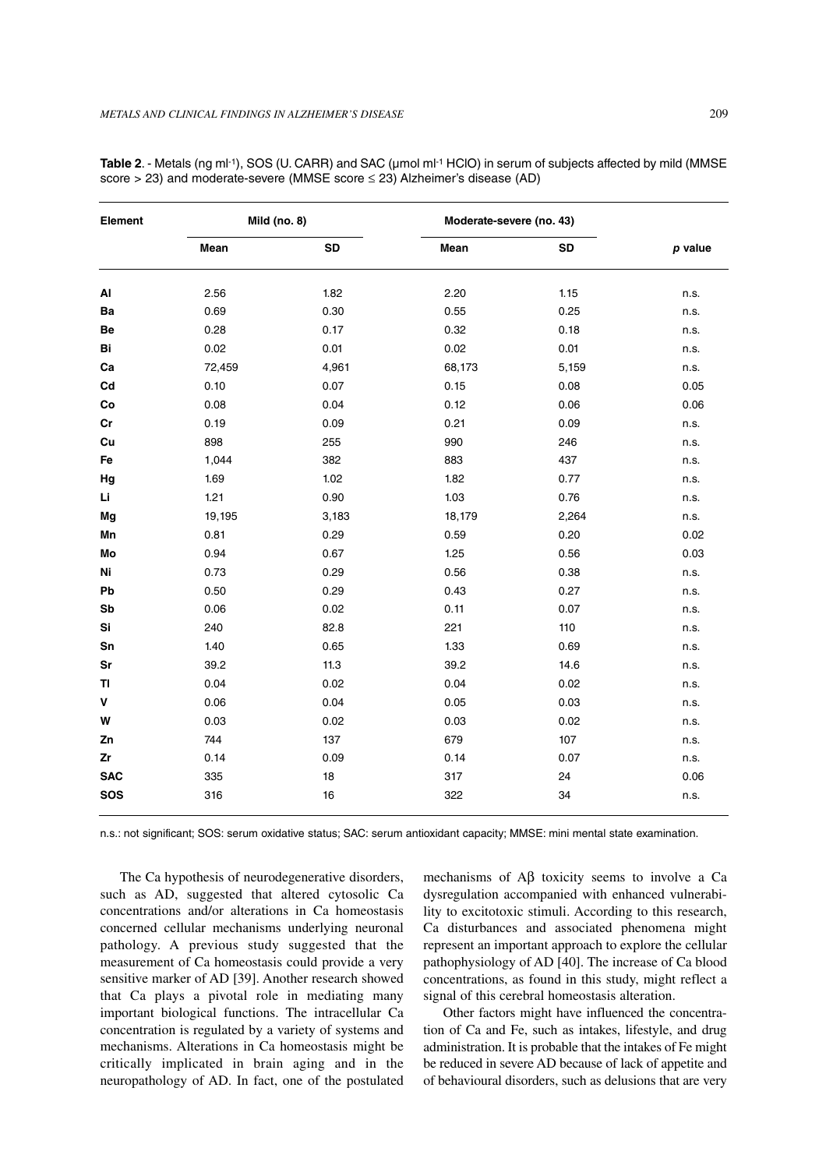| Element    | <b>Mild (no. 8)</b> |           | Moderate-severe (no. 43) |           |         |
|------------|---------------------|-----------|--------------------------|-----------|---------|
|            | Mean                | <b>SD</b> | Mean                     | <b>SD</b> | p value |
| AI         | 2.56                | 1.82      | 2.20                     | 1.15      | n.s.    |
| Ba         | 0.69                | 0.30      | 0.55                     | 0.25      | n.s.    |
| Be         | 0.28                | 0.17      | 0.32                     | 0.18      | n.s.    |
| Bi         | 0.02                | 0.01      | 0.02                     | 0.01      | n.s.    |
| Ca         | 72,459              | 4,961     | 68,173                   | 5,159     | n.s.    |
| Cd         | 0.10                | 0.07      | 0.15                     | 0.08      | 0.05    |
| Co         | 0.08                | 0.04      | 0.12                     | 0.06      | 0.06    |
| Cr         | 0.19                | 0.09      | 0.21                     | 0.09      | n.s.    |
| Cu         | 898                 | 255       | 990                      | 246       | n.s.    |
| Fe         | 1,044               | 382       | 883                      | 437       | n.s.    |
| Hg         | 1.69                | 1.02      | 1.82                     | 0.77      | n.s.    |
| Li         | 1.21                | 0.90      | 1.03                     | 0.76      | n.s.    |
| Mg         | 19,195              | 3,183     | 18,179                   | 2,264     | n.s.    |
| Mn         | 0.81                | 0.29      | 0.59                     | 0.20      | 0.02    |
| Mo         | 0.94                | 0.67      | 1.25                     | 0.56      | 0.03    |
| Ni         | 0.73                | 0.29      | 0.56                     | 0.38      | n.s.    |
| Pb         | 0.50                | 0.29      | 0.43                     | 0.27      | n.s.    |
| Sb         | 0.06                | 0.02      | 0.11                     | 0.07      | n.s.    |
| Si         | 240                 | 82.8      | 221                      | 110       | n.s.    |
| Sn         | 1.40                | 0.65      | 1.33                     | 0.69      | n.s.    |
| Sr         | 39.2                | 11.3      | 39.2                     | 14.6      | n.s.    |
| TI         | 0.04                | 0.02      | 0.04                     | 0.02      | n.s.    |
| V          | 0.06                | 0.04      | 0.05                     | 0.03      | n.s.    |
| W          | 0.03                | 0.02      | 0.03                     | 0.02      | n.s.    |
| Zn         | 744                 | 137       | 679                      | 107       | n.s.    |
| Zr         | 0.14                | 0.09      | 0.14                     | 0.07      | n.s.    |
| <b>SAC</b> | 335                 | 18        | 317                      | 24        | 0.06    |
| <b>SOS</b> | 316                 | 16        | 322                      | 34        | n.s.    |

Table 2. - Metals (ng ml-1), SOS (U. CARR) and SAC (umol ml-1 HClO) in serum of subjects affected by mild (MMSE score > 23) and moderate-severe (MMSE score ≤ 23) Alzheimer's disease (AD)

n.s.: not significant; SOS: serum oxidative status; SAC: serum antioxidant capacity; MMSE: mini mental state examination.

The Ca hypothesis of neurodegenerative disorders, such as AD, suggested that altered cytosolic Ca concentrations and/or alterations in Ca homeostasis concerned cellular mechanisms underlying neuronal pathology. A previous study suggested that the measurement of Ca homeostasis could provide a very sensitive marker of AD [39]. Another research showed that Ca plays a pivotal role in mediating many important biological functions. The intracellular Ca concentration is regulated by a variety of systems and mechanisms. Alterations in Ca homeostasis might be critically implicated in brain aging and in the neuropathology of AD. In fact, one of the postulated

mechanisms of Aβ toxicity seems to involve a Ca dysregulation accompanied with enhanced vulnerability to excitotoxic stimuli. According to this research, Ca disturbances and associated phenomena might represent an important approach to explore the cellular pathophysiology of AD [40]. The increase of Ca blood concentrations, as found in this study, might reflect a signal of this cerebral homeostasis alteration.

Other factors might have influenced the concentration of Ca and Fe, such as intakes, lifestyle, and drug administration. It is probable that the intakes of Fe might be reduced in severe AD because of lack of appetite and of behavioural disorders, such as delusions that are very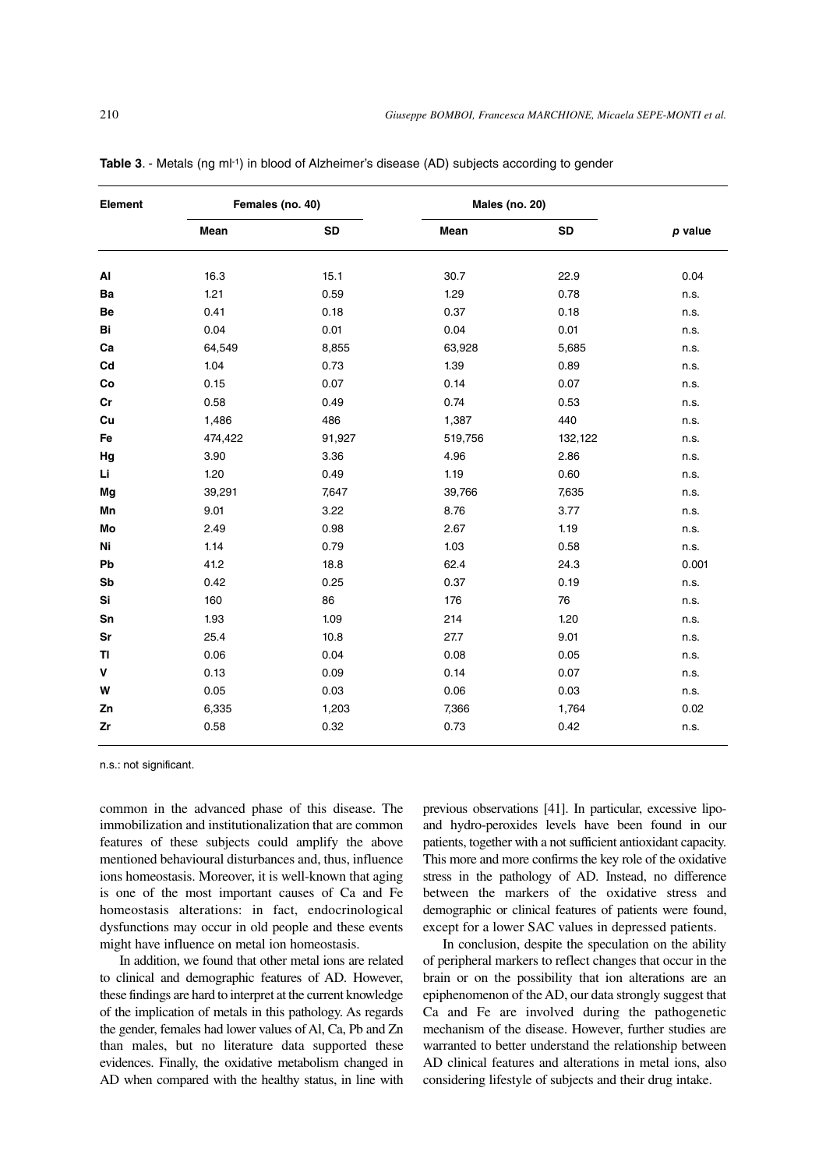| Element | Females (no. 40) |           | <b>Males (no. 20)</b> |           |         |
|---------|------------------|-----------|-----------------------|-----------|---------|
|         | Mean             | <b>SD</b> | Mean                  | <b>SD</b> | p value |
| AI      | 16.3             | 15.1      | 30.7                  | 22.9      | 0.04    |
| Ba      | 1.21             | 0.59      | 1.29                  | 0.78      | n.s.    |
| Be      | 0.41             | 0.18      | 0.37                  | 0.18      | n.s.    |
| Bi      | 0.04             | 0.01      | 0.04                  | 0.01      | n.s.    |
| Ca      | 64,549           | 8,855     | 63,928                | 5,685     | n.s.    |
| Cd      | 1.04             | 0.73      | 1.39                  | 0.89      | n.s.    |
| Co      | 0.15             | 0.07      | 0.14                  | 0.07      | n.s.    |
| cr      | 0.58             | 0.49      | 0.74                  | 0.53      | n.s.    |
| Cu      | 1,486            | 486       | 1,387                 | 440       | n.s.    |
| Fe      | 474,422          | 91,927    | 519,756               | 132,122   | n.s.    |
| Hg      | 3.90             | 3.36      | 4.96                  | 2.86      | n.s.    |
| Li      | 1.20             | 0.49      | 1.19                  | 0.60      | n.s.    |
| Mg      | 39,291           | 7,647     | 39,766                | 7,635     | n.s.    |
| Mn      | 9.01             | 3.22      | 8.76                  | 3.77      | n.s.    |
| Mo      | 2.49             | 0.98      | 2.67                  | 1.19      | n.s.    |
| Ni      | 1.14             | 0.79      | 1.03                  | 0.58      | n.s.    |
| Pb      | 41.2             | 18.8      | 62.4                  | 24.3      | 0.001   |
| Sb      | 0.42             | 0.25      | 0.37                  | 0.19      | n.s.    |
| Si      | 160              | 86        | 176                   | 76        | n.s.    |
| Sn      | 1.93             | 1.09      | 214                   | 1.20      | n.s.    |
| Sr      | 25.4             | 10.8      | 27.7                  | 9.01      | n.s.    |
| TI      | 0.06             | 0.04      | 0.08                  | 0.05      | n.s.    |
| V       | 0.13             | 0.09      | 0.14                  | 0.07      | n.s.    |
| W       | 0.05             | 0.03      | 0.06                  | 0.03      | n.s.    |
| Zn      | 6,335            | 1,203     | 7,366                 | 1,764     | 0.02    |
| Zr      | 0.58             | 0.32      | 0.73                  | 0.42      | n.s.    |

**Table 3**. - Metals (ng ml-1) in blood of Alzheimer's disease (AD) subjects according to gender

n.s.: not significant.

common in the advanced phase of this disease. The immobilization and institutionalization that are common features of these subjects could amplify the above mentioned behavioural disturbances and, thus, influence ions homeostasis. Moreover, it is well-known that aging is one of the most important causes of Ca and Fe homeostasis alterations: in fact, endocrinological dysfunctions may occur in old people and these events might have influence on metal ion homeostasis.

In addition, we found that other metal ions are related to clinical and demographic features of AD. However, these findings are hard to interpret at the current knowledge of the implication of metals in this pathology. As regards the gender, females had lower values of Al, Ca, Pb and Zn than males, but no literature data supported these evidences. Finally, the oxidative metabolism changed in AD when compared with the healthy status, in line with

previous observations [41]. In particular, excessive lipoand hydro-peroxides levels have been found in our patients, together with a not sufficient antioxidant capacity. This more and more confirms the key role of the oxidative stress in the pathology of AD. Instead, no difference between the markers of the oxidative stress and demographic or clinical features of patients were found, except for a lower SAC values in depressed patients.

In conclusion, despite the speculation on the ability of peripheral markers to reflect changes that occur in the brain or on the possibility that ion alterations are an epiphenomenon of the AD, our data strongly suggest that Ca and Fe are involved during the pathogenetic mechanism of the disease. However, further studies are warranted to better understand the relationship between AD clinical features and alterations in metal ions, also considering lifestyle of subjects and their drug intake.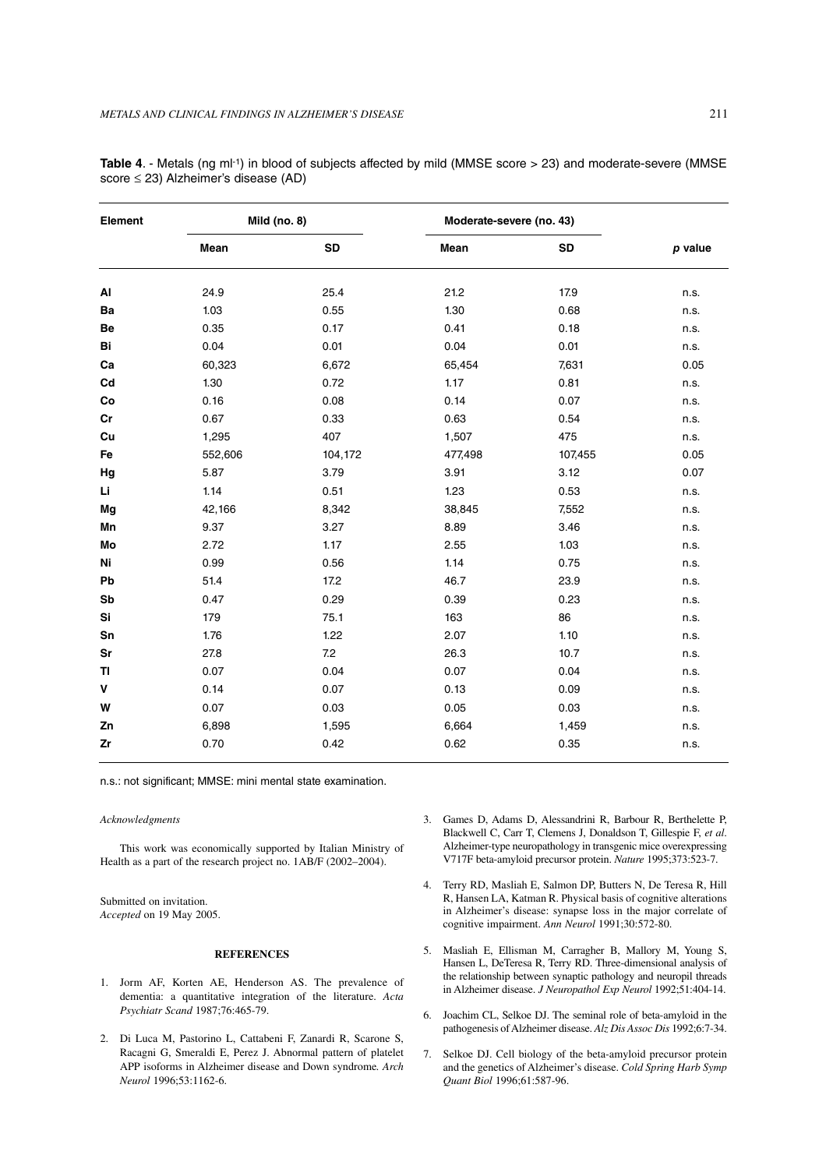| Element | <b>Mild (no. 8)</b> |           | Moderate-severe (no. 43) |         |         |
|---------|---------------------|-----------|--------------------------|---------|---------|
|         | Mean                | <b>SD</b> | Mean                     | SD      | p value |
| AI      | 24.9                | 25.4      | 21.2                     | 17.9    | n.s.    |
| Ba      | 1.03                | 0.55      | 1.30                     | 0.68    | n.s.    |
| Be      | 0.35                | 0.17      | 0.41                     | 0.18    | n.s.    |
| Bi      | 0.04                | 0.01      | 0.04                     | 0.01    | n.s.    |
| Ca      | 60,323              | 6,672     | 65,454                   | 7,631   | 0.05    |
| Cd      | 1.30                | 0.72      | 1.17                     | 0.81    | n.s.    |
| Co      | 0.16                | 0.08      | 0.14                     | 0.07    | n.s.    |
| cr      | 0.67                | 0.33      | 0.63                     | 0.54    | n.s.    |
| Cu      | 1,295               | 407       | 1,507                    | 475     | n.s.    |
| Fe      | 552,606             | 104,172   | 477,498                  | 107,455 | 0.05    |
| Hg      | 5.87                | 3.79      | 3.91                     | 3.12    | 0.07    |
| Li      | 1.14                | 0.51      | 1.23                     | 0.53    | n.s.    |
| Mg      | 42,166              | 8,342     | 38,845                   | 7,552   | n.s.    |
| Mn      | 9.37                | 3.27      | 8.89                     | 3.46    | n.s.    |
| Mo      | 2.72                | 1.17      | 2.55                     | 1.03    | n.s.    |
| Ni      | 0.99                | 0.56      | 1.14                     | 0.75    | n.s.    |
| Pb      | 51.4                | 17.2      | 46.7                     | 23.9    | n.s.    |
| Sb      | 0.47                | 0.29      | 0.39                     | 0.23    | n.s.    |
| Si      | 179                 | 75.1      | 163                      | 86      | n.s.    |
| Sn      | 1.76                | 1.22      | 2.07                     | 1.10    | n.s.    |
| Sr      | 27.8                | 7.2       | 26.3                     | 10.7    | n.s.    |
| TI      | 0.07                | 0.04      | 0.07                     | 0.04    | n.s.    |
| V       | 0.14                | 0.07      | 0.13                     | 0.09    | n.s.    |
| W       | 0.07                | 0.03      | 0.05                     | 0.03    | n.s.    |
| Zn      | 6,898               | 1,595     | 6,664                    | 1,459   | n.s.    |
| Zr      | 0.70                | 0.42      | 0.62                     | 0.35    | n.s.    |

**Table 4**. - Metals (ng ml-1) in blood of subjects affected by mild (MMSE score > 23) and moderate-severe (MMSE score ≤ 23) Alzheimer's disease (AD)

n.s.: not significant; MMSE: mini mental state examination.

#### *Acknowledgments*

This work was economically supported by Italian Ministry of Health as a part of the research project no. 1AB/F (2002–2004).

Submitted on invitation. *Accepted* on 19 May 2005.

# **REFERENCES**

- 1. Jorm AF, Korten AE, Henderson AS. The prevalence of dementia: a quantitative integration of the literature. *Acta Psychiatr Scand* 1987;76:465-79.
- 2. Di Luca M, Pastorino L, Cattabeni F, Zanardi R, Scarone S, Racagni G, Smeraldi E, Perez J. Abnormal pattern of platelet APP isoforms in Alzheimer disease and Down syndrome*. Arch Neurol* 1996;53:1162-6.
- 3. Games D, Adams D, Alessandrini R, Barbour R, Berthelette P, Blackwell C, Carr T, Clemens J, Donaldson T, Gillespie F, *et al*. Alzheimer-type neuropathology in transgenic mice overexpressing V717F beta-amyloid precursor protein. *Nature* 1995;373:523-7.
- 4. Terry RD, Masliah E, Salmon DP, Butters N, De Teresa R, Hill R, Hansen LA, Katman R. Physical basis of cognitive alterations in Alzheimer's disease: synapse loss in the major correlate of cognitive impairment. *Ann Neurol* 1991;30:572-80.
- 5. Masliah E, Ellisman M, Carragher B, Mallory M, Young S, Hansen L, DeTeresa R, Terry RD. Three-dimensional analysis of the relationship between synaptic pathology and neuropil threads in Alzheimer disease. *J Neuropathol Exp Neurol* 1992;51:404-14.
- 6. Joachim CL, Selkoe DJ. The seminal role of beta-amyloid in the pathogenesis of Alzheimer disease. *Alz Dis Assoc Dis* 1992;6:7-34.
- 7. Selkoe DJ. Cell biology of the beta-amyloid precursor protein and the genetics of Alzheimer's disease. *Cold Spring Harb Symp Quant Biol* 1996;61:587-96.